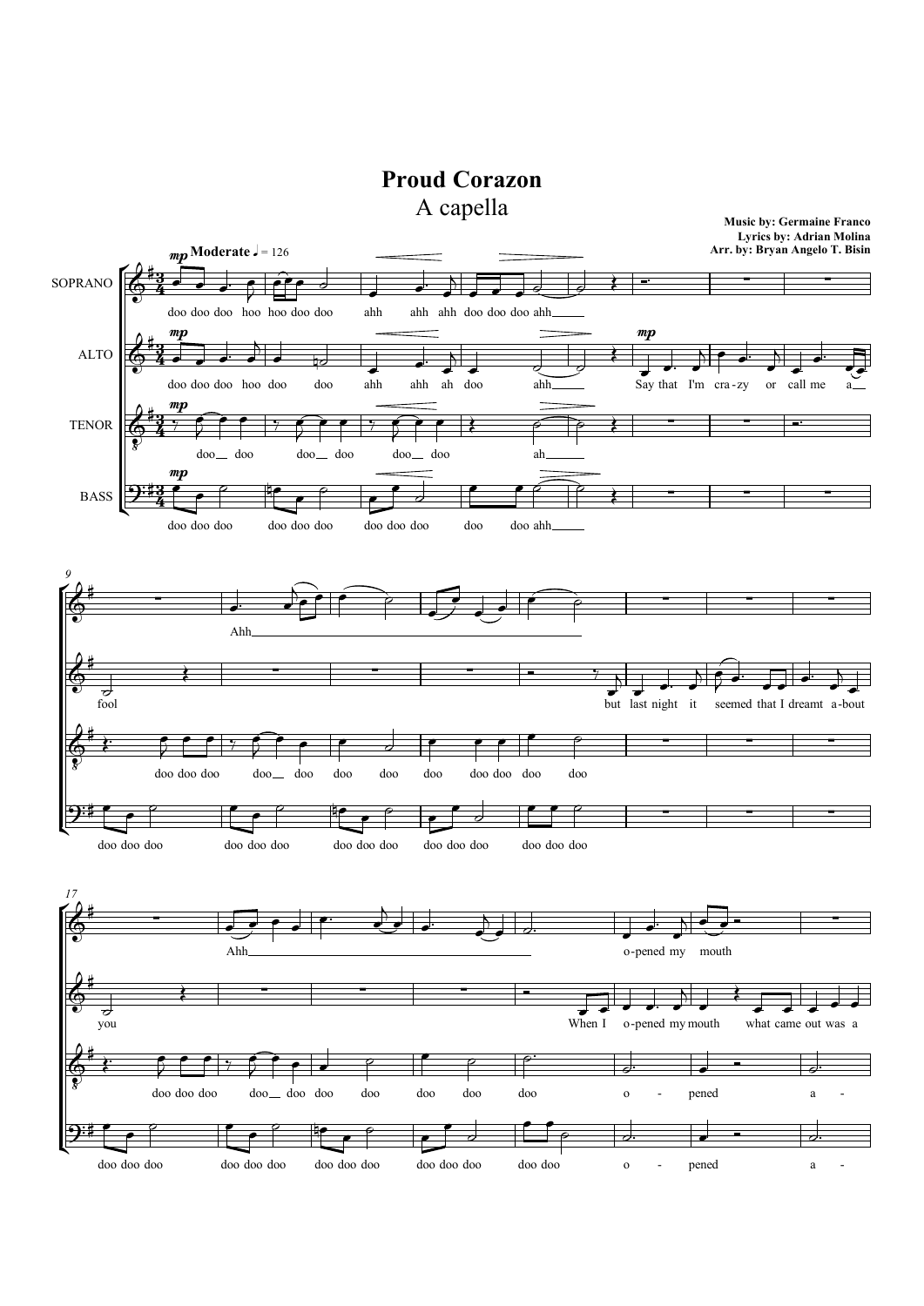## Proud Corazon

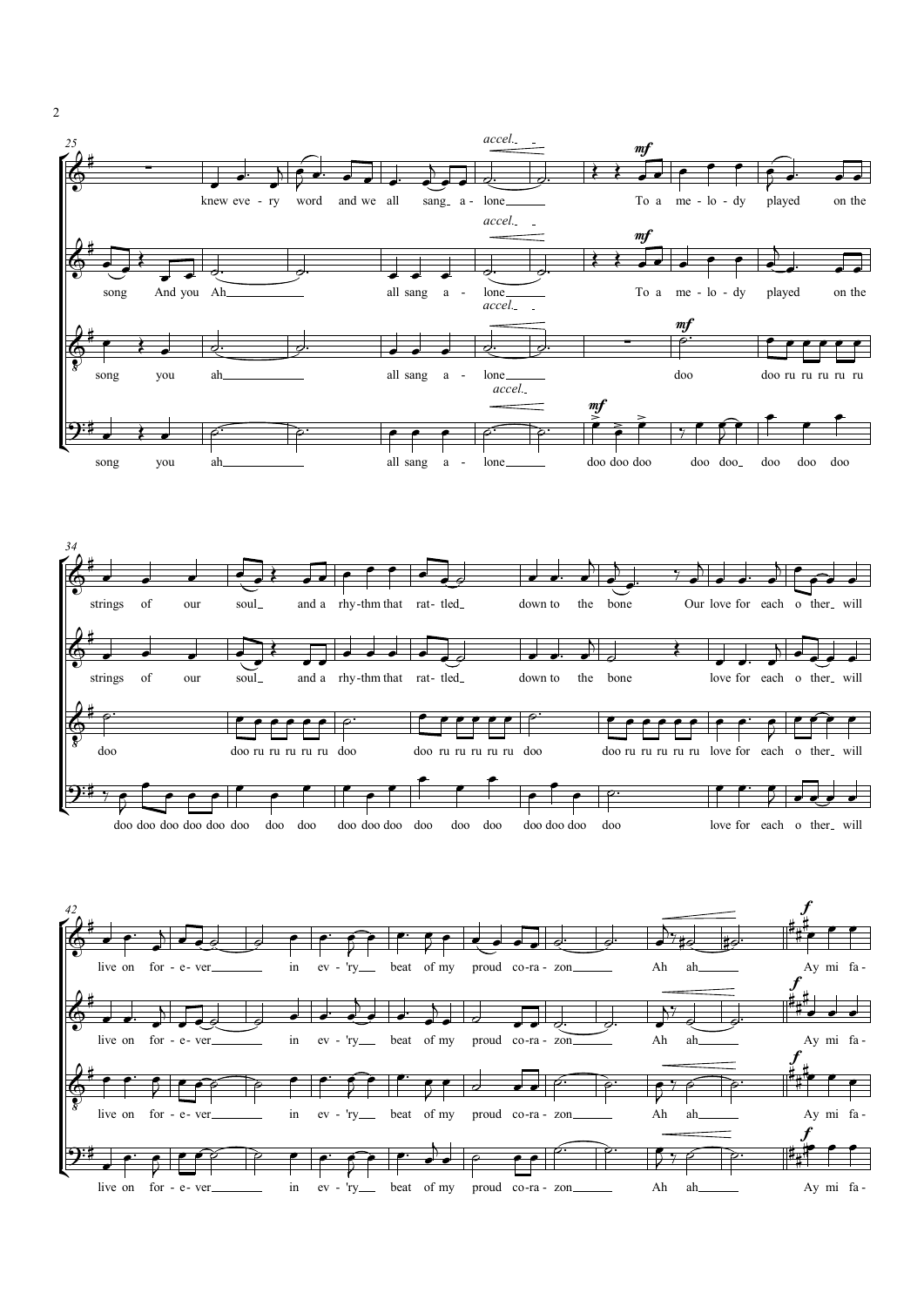